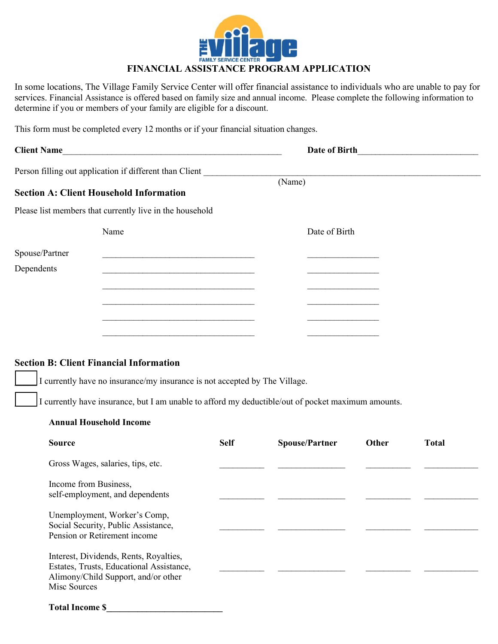

# **FINANCIAL ASSISTANCE PROGRAM APPLICATION**

In some locations, The Village Family Service Center will offer financial assistance to individuals who are unable to pay for services. Financial Assistance is offered based on family size and annual income. Please complete the following information to determine if you or members of your family are eligible for a discount.

This form must be completed every 12 months or if your financial situation changes.

| <b>Client Name</b>                                                                                                                                                                                                 |             | Date of Birth         |       | <u> 1980 - Jan Barbara Barbara, masa ka</u> |
|--------------------------------------------------------------------------------------------------------------------------------------------------------------------------------------------------------------------|-------------|-----------------------|-------|---------------------------------------------|
| Person filling out application if different than Client                                                                                                                                                            |             | (Name)                |       |                                             |
| <b>Section A: Client Household Information</b>                                                                                                                                                                     |             |                       |       |                                             |
| Please list members that currently live in the household                                                                                                                                                           |             |                       |       |                                             |
| Name                                                                                                                                                                                                               |             | Date of Birth         |       |                                             |
| Spouse/Partner                                                                                                                                                                                                     |             |                       |       |                                             |
| Dependents                                                                                                                                                                                                         |             |                       |       |                                             |
|                                                                                                                                                                                                                    |             |                       |       |                                             |
|                                                                                                                                                                                                                    |             |                       |       |                                             |
|                                                                                                                                                                                                                    |             |                       |       |                                             |
|                                                                                                                                                                                                                    |             |                       |       |                                             |
| I currently have no insurance/my insurance is not accepted by The Village.<br>I currently have insurance, but I am unable to afford my deductible/out of pocket maximum amounts.<br><b>Annual Household Income</b> |             |                       |       |                                             |
| <b>Source</b>                                                                                                                                                                                                      | <b>Self</b> | <b>Spouse/Partner</b> | Other | <b>Total</b>                                |
| Gross Wages, salaries, tips, etc.                                                                                                                                                                                  |             |                       |       |                                             |
| Income from Business,<br>self-employment, and dependents                                                                                                                                                           |             |                       |       |                                             |
| Unemployment, Worker's Comp,<br>Social Security, Public Assistance,<br>Pension or Retirement income                                                                                                                |             |                       |       |                                             |
| Interest, Dividends, Rents, Royalties,<br>Estates, Trusts, Educational Assistance,<br>Alimony/Child Support, and/or other<br>Misc Sources                                                                          |             |                       |       |                                             |

#### **Total Income \$\_\_\_\_\_\_\_\_\_\_\_\_\_\_\_\_\_\_\_\_\_\_\_\_\_\_**